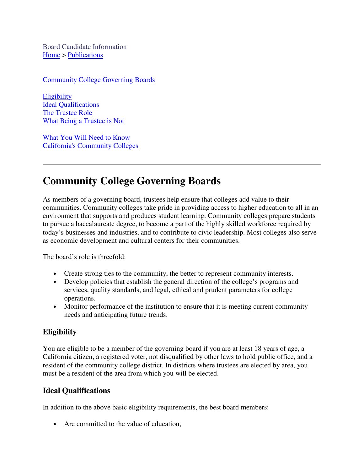Board Candidate Information Home > Publications

Community College Governing Boards

**Eligibility** Ideal Qualifications The Trustee Role What Being a Trustee is Not

What You Will Need to Know California's Community Colleges

### **Community College Governing Boards**

As members of a governing board, trustees help ensure that colleges add value to their communities. Community colleges take pride in providing access to higher education to all in an environment that supports and produces student learning. Community colleges prepare students to pursue a baccalaureate degree, to become a part of the highly skilled workforce required by today's businesses and industries, and to contribute to civic leadership. Most colleges also serve as economic development and cultural centers for their communities.

The board's role is threefold:

- Create strong ties to the community, the better to represent community interests.
- Develop policies that establish the general direction of the college's programs and services, quality standards, and legal, ethical and prudent parameters for college operations.
- Monitor performance of the institution to ensure that it is meeting current community needs and anticipating future trends.

### **Eligibility**

You are eligible to be a member of the governing board if you are at least 18 years of age, a California citizen, a registered voter, not disqualified by other laws to hold public office, and a resident of the community college district. In districts where trustees are elected by area, you must be a resident of the area from which you will be elected.

#### **Ideal Qualifications**

In addition to the above basic eligibility requirements, the best board members:

• Are committed to the value of education,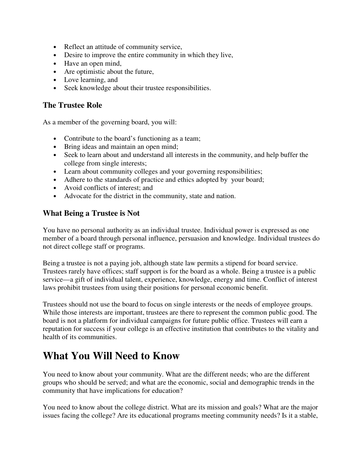- Reflect an attitude of community service,
- Desire to improve the entire community in which they live,
- Have an open mind,
- Are optimistic about the future,
- Love learning, and
- Seek knowledge about their trustee responsibilities.

#### **The Trustee Role**

As a member of the governing board, you will:

- Contribute to the board's functioning as a team;
- Bring ideas and maintain an open mind;
- Seek to learn about and understand all interests in the community, and help buffer the college from single interests;
- Learn about community colleges and your governing responsibilities;
- Adhere to the standards of practice and ethics adopted by your board;
- Avoid conflicts of interest; and
- Advocate for the district in the community, state and nation.

#### **What Being a Trustee is Not**

You have no personal authority as an individual trustee. Individual power is expressed as one member of a board through personal influence, persuasion and knowledge. Individual trustees do not direct college staff or programs.

Being a trustee is not a paying job, although state law permits a stipend for board service. Trustees rarely have offices; staff support is for the board as a whole. Being a trustee is a public service—a gift of individual talent, experience, knowledge, energy and time. Conflict of interest laws prohibit trustees from using their positions for personal economic benefit.

Trustees should not use the board to focus on single interests or the needs of employee groups. While those interests are important, trustees are there to represent the common public good. The board is not a platform for individual campaigns for future public office. Trustees will earn a reputation for success if your college is an effective institution that contributes to the vitality and health of its communities.

## **What You Will Need to Know**

You need to know about your community. What are the different needs; who are the different groups who should be served; and what are the economic, social and demographic trends in the community that have implications for education?

You need to know about the college district. What are its mission and goals? What are the major issues facing the college? Are its educational programs meeting community needs? Is it a stable,